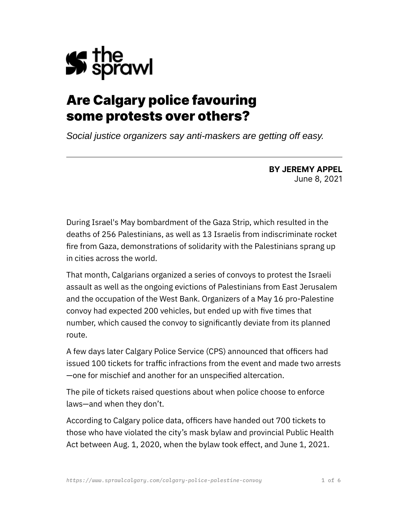

# Are Calgary police favouring some protests over others?

*Social justice organizers say anti-maskers are getting off easy.*

**BY JEREMY APPEL** June 8, 2021

During Israel's May bombardment of the Gaza Strip, which resulted in the deaths of 256 Palestinians, as well as 13 Israelis from indiscriminate rocket fire from Gaza, demonstrations of solidarity with the Palestinians sprang up in cities across the world.

That month, Calgarians organized a series of convoys to protest the Israeli assault as well as the ongoing evictions of Palestinians from East Jerusalem and the occupation of the West Bank. Organizers of a May 16 pro-Palestine convoy had expected 200 vehicles, but ended up with five times that number, which caused the convoy to significantly deviate from its planned route.

A few days later Calgary Police Service (CPS) announced that officers had issued 100 tickets for traffic infractions from the event and made two arrests —one for mischief and another for an unspecified altercation.

The pile of tickets raised questions about when police choose to enforce laws—and when they don't.

According to Calgary police data, officers have handed out 700 tickets to those who have violated the city's mask bylaw and provincial Public Health Act between Aug. 1, 2020, when the bylaw took effect, and June 1, 2021.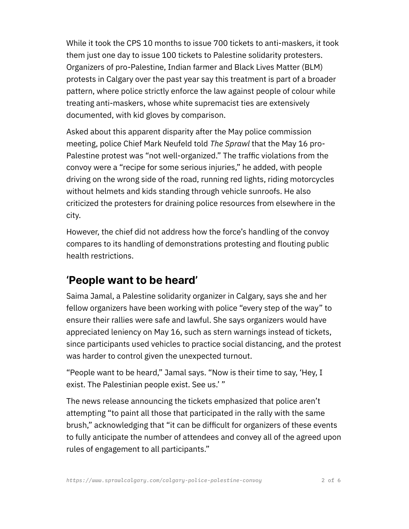While it took the CPS 10 months to issue 700 tickets to anti-maskers, it took them just one day to issue 100 tickets to Palestine solidarity protesters. Organizers of pro-Palestine, Indian farmer and Black Lives Matter (BLM) protests in Calgary over the past year say this treatment is part of a broader pattern, where police strictly enforce the law against people of colour while treating anti-maskers, whose white supremacist ties are extensively documented, with kid gloves by comparison.

Asked about this apparent disparity after the May police commission meeting, police Chief Mark Neufeld told *The Sprawl* that the May 16 pro-Palestine protest was "not well-organized." The traffic violations from the convoy were a "recipe for some serious injuries," he added, with people driving on the wrong side of the road, running red lights, riding motorcycles without helmets and kids standing through vehicle sunroofs. He also criticized the protesters for draining police resources from elsewhere in the city.

However, the chief did not address how the force's handling of the convoy compares to its handling of demonstrations protesting and flouting public health restrictions.

#### **'People want to be heard'**

Saima Jamal, a Palestine solidarity organizer in Calgary, says she and her fellow organizers have been working with police "every step of the way" to ensure their rallies were safe and lawful. She says organizers would have appreciated leniency on May 16, such as stern warnings instead of tickets, since participants used vehicles to practice social distancing, and the protest was harder to control given the unexpected turnout.

"People want to be heard," Jamal says. "Now is their time to say, 'Hey, I exist. The Palestinian people exist. See us.' "

The news release announcing the tickets emphasized that police aren't attempting "to paint all those that participated in the rally with the same brush," acknowledging that "it can be difficult for organizers of these events to fully anticipate the number of attendees and convey all of the agreed upon rules of engagement to all participants."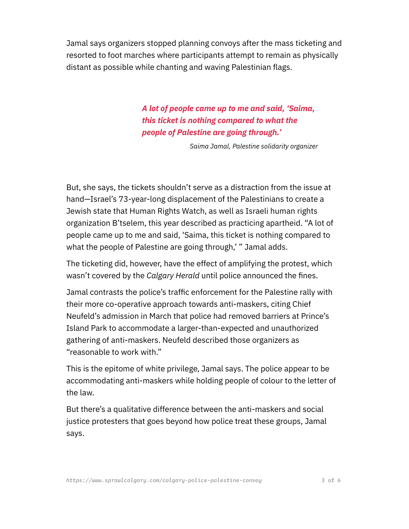Jamal says organizers stopped planning convoys after the mass ticketing and resorted to foot marches where participants attempt to remain as physically distant as possible while chanting and waving Palestinian flags.

> *A lot of people came up to me and said, 'Saima, this ticket is nothing compared to what the people of Palestine are going through.'*

> > *Saima Jamal, Palestine solidarity organizer*

But, she says, the tickets shouldn't serve as a distraction from the issue at hand—Israel's 73-year-long displacement of the Palestinians to create a Jewish state that Human Rights Watch, as well as Israeli human rights organization B'tselem, this year described as practicing apartheid. "A lot of people came up to me and said, 'Saima, this ticket is nothing compared to what the people of Palestine are going through,' " Jamal adds.

The ticketing did, however, have the effect of amplifying the protest, which wasn't covered by the *Calgary Herald* until police announced the fines.

Jamal contrasts the police's traffic enforcement for the Palestine rally with their more co-operative approach towards anti-maskers, citing Chief Neufeld's admission in March that police had removed barriers at Prince's Island Park to accommodate a larger-than-expected and unauthorized gathering of anti-maskers. Neufeld described those organizers as "reasonable to work with."

This is the epitome of white privilege, Jamal says. The police appear to be accommodating anti-maskers while holding people of colour to the letter of the law.

But there's a qualitative difference between the anti-maskers and social justice protesters that goes beyond how police treat these groups, Jamal says.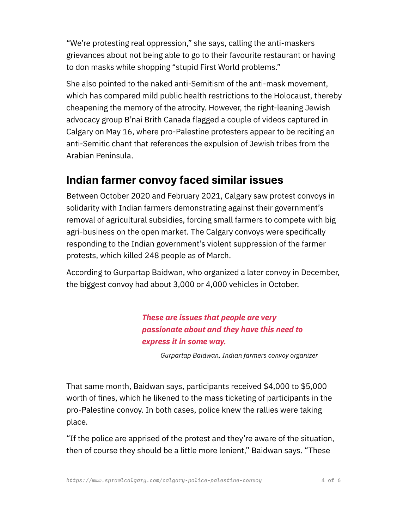"We're protesting real oppression," she says, calling the anti-maskers grievances about not being able to go to their favourite restaurant or having to don masks while shopping "stupid First World problems."

She also pointed to the naked anti-Semitism of the anti-mask movement, which has compared mild public health restrictions to the Holocaust, thereby cheapening the memory of the atrocity. However, the right-leaning Jewish advocacy group B'nai Brith Canada flagged a couple of videos captured in Calgary on May 16, where pro-Palestine protesters appear to be reciting an anti-Semitic chant that references the expulsion of Jewish tribes from the Arabian Peninsula.

### **Indian farmer convoy faced similar issues**

Between October 2020 and February 2021, Calgary saw protest convoys in solidarity with Indian farmers demonstrating against their government's removal of agricultural subsidies, forcing small farmers to compete with big agri-business on the open market. The Calgary convoys were specifically responding to the Indian government's violent suppression of the farmer protests, which killed 248 people as of March.

According to Gurpartap Baidwan, who organized a later convoy in December, the biggest convoy had about 3,000 or 4,000 vehicles in October.

> *These are issues that people are very passionate about and they have this need to express it in some way.*

> > *Gurpartap Baidwan, Indian farmers convoy organizer*

That same month, Baidwan says, participants received \$4,000 to \$5,000 worth of fines, which he likened to the mass ticketing of participants in the pro-Palestine convoy. In both cases, police knew the rallies were taking place.

"If the police are apprised of the protest and they're aware of the situation, then of course they should be a little more lenient," Baidwan says. "These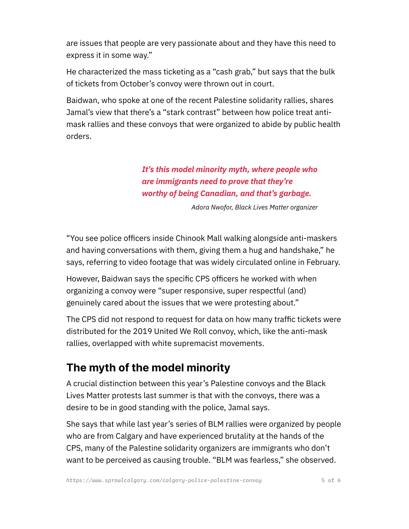are issues that people are very passionate about and they have this need to express it in some way."

He characterized the mass ticketing as a "cash grab," but says that the bulk of tickets from October's convoy were thrown out in court.

Baidwan, who spoke at one of the recent Palestine solidarity rallies, shares Jamal's view that there's a "stark contrast" between how police treat antimask rallies and these convoys that were organized to abide by public health orders.

#### *It's this model minority myth, where people who are immigrants need to prove that they're worthy of being Canadian, and that's garbage.*

 *Adora Nwofor, Black Lives Matter organizer*

"You see police officers inside Chinook Mall walking alongside anti-maskers and having conversations with them, giving them a hug and handshake," he says, referring to video footage that was widely circulated online in February.

However, Baidwan says the specific CPS officers he worked with when organizing a convoy were "super responsive, super respectful (and) genuinely cared about the issues that we were protesting about."

The CPS did not respond to request for data on how many traffic tickets were distributed for the 2019 United We Roll convoy, which, like the anti-mask rallies, overlapped with white supremacist movements.

## **The myth of the model minority**

A crucial distinction between this year's Palestine convoys and the Black Lives Matter protests last summer is that with the convoys, there was a desire to be in good standing with the police, Jamal says.

She says that while last year's series of BLM rallies were organized by people who are from Calgary and have experienced brutality at the hands of the CPS, many of the Palestine solidarity organizers are immigrants who don't want to be perceived as causing trouble. "BLM was fearless," she observed.